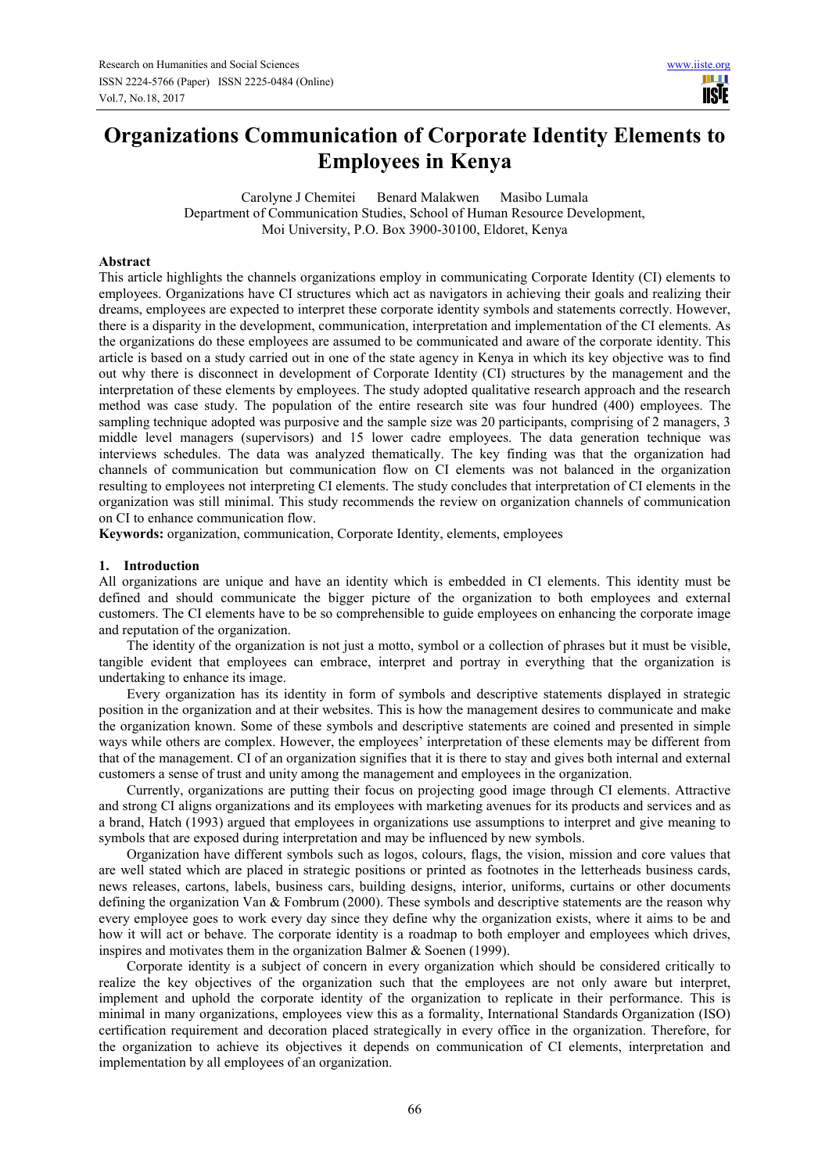# **Organizations Communication of Corporate Identity Elements to Employees in Kenya**

Carolyne J Chemitei Benard Malakwen Masibo Lumala Department of Communication Studies, School of Human Resource Development, Moi University, P.O. Box 3900-30100, Eldoret, Kenya

# **Abstract**

This article highlights the channels organizations employ in communicating Corporate Identity (CI) elements to employees. Organizations have CI structures which act as navigators in achieving their goals and realizing their dreams, employees are expected to interpret these corporate identity symbols and statements correctly. However, there is a disparity in the development, communication, interpretation and implementation of the CI elements. As the organizations do these employees are assumed to be communicated and aware of the corporate identity. This article is based on a study carried out in one of the state agency in Kenya in which its key objective was to find out why there is disconnect in development of Corporate Identity (CI) structures by the management and the interpretation of these elements by employees. The study adopted qualitative research approach and the research method was case study. The population of the entire research site was four hundred (400) employees. The sampling technique adopted was purposive and the sample size was 20 participants, comprising of 2 managers, 3 middle level managers (supervisors) and 15 lower cadre employees. The data generation technique was interviews schedules. The data was analyzed thematically. The key finding was that the organization had channels of communication but communication flow on CI elements was not balanced in the organization resulting to employees not interpreting CI elements. The study concludes that interpretation of CI elements in the organization was still minimal. This study recommends the review on organization channels of communication on CI to enhance communication flow.

**Keywords:** organization, communication, Corporate Identity, elements, employees

### **1. Introduction**

All organizations are unique and have an identity which is embedded in CI elements. This identity must be defined and should communicate the bigger picture of the organization to both employees and external customers. The CI elements have to be so comprehensible to guide employees on enhancing the corporate image and reputation of the organization.

The identity of the organization is not just a motto, symbol or a collection of phrases but it must be visible, tangible evident that employees can embrace, interpret and portray in everything that the organization is undertaking to enhance its image.

Every organization has its identity in form of symbols and descriptive statements displayed in strategic position in the organization and at their websites. This is how the management desires to communicate and make the organization known. Some of these symbols and descriptive statements are coined and presented in simple ways while others are complex. However, the employees' interpretation of these elements may be different from that of the management. CI of an organization signifies that it is there to stay and gives both internal and external customers a sense of trust and unity among the management and employees in the organization.

Currently, organizations are putting their focus on projecting good image through CI elements. Attractive and strong CI aligns organizations and its employees with marketing avenues for its products and services and as a brand, Hatch (1993) argued that employees in organizations use assumptions to interpret and give meaning to symbols that are exposed during interpretation and may be influenced by new symbols.

Organization have different symbols such as logos, colours, flags, the vision, mission and core values that are well stated which are placed in strategic positions or printed as footnotes in the letterheads business cards, news releases, cartons, labels, business cars, building designs, interior, uniforms, curtains or other documents defining the organization Van & Fombrum (2000). These symbols and descriptive statements are the reason why every employee goes to work every day since they define why the organization exists, where it aims to be and how it will act or behave. The corporate identity is a roadmap to both employer and employees which drives, inspires and motivates them in the organization Balmer & Soenen (1999).

Corporate identity is a subject of concern in every organization which should be considered critically to realize the key objectives of the organization such that the employees are not only aware but interpret, implement and uphold the corporate identity of the organization to replicate in their performance. This is minimal in many organizations, employees view this as a formality, International Standards Organization (ISO) certification requirement and decoration placed strategically in every office in the organization. Therefore, for the organization to achieve its objectives it depends on communication of CI elements, interpretation and implementation by all employees of an organization.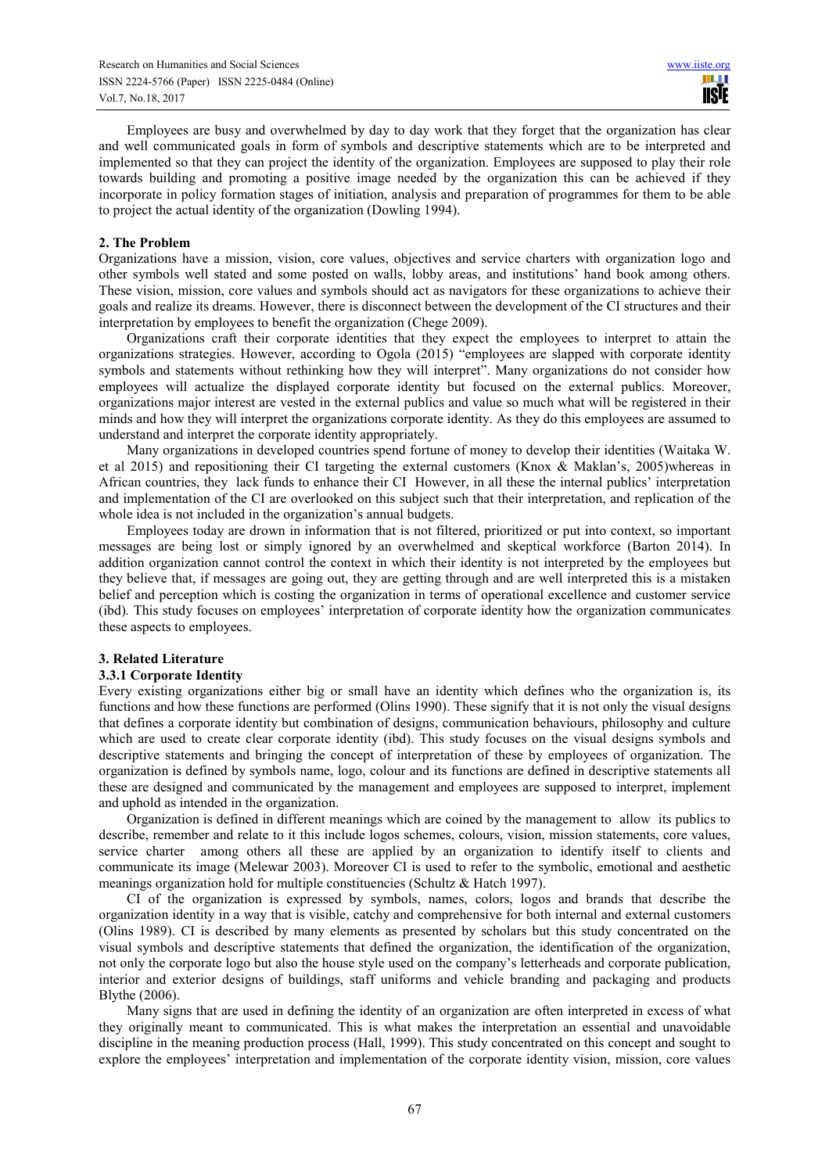Employees are busy and overwhelmed by day to day work that they forget that the organization has clear and well communicated goals in form of symbols and descriptive statements which are to be interpreted and implemented so that they can project the identity of the organization. Employees are supposed to play their role towards building and promoting a positive image needed by the organization this can be achieved if they incorporate in policy formation stages of initiation, analysis and preparation of programmes for them to be able to project the actual identity of the organization (Dowling 1994).

### **2. The Problem**

Organizations have a mission, vision, core values, objectives and service charters with organization logo and other symbols well stated and some posted on walls, lobby areas, and institutions' hand book among others. These vision, mission, core values and symbols should act as navigators for these organizations to achieve their goals and realize its dreams. However, there is disconnect between the development of the CI structures and their interpretation by employees to benefit the organization (Chege 2009).

Organizations craft their corporate identities that they expect the employees to interpret to attain the organizations strategies. However, according to Ogola (2015) "employees are slapped with corporate identity symbols and statements without rethinking how they will interpret". Many organizations do not consider how employees will actualize the displayed corporate identity but focused on the external publics. Moreover, organizations major interest are vested in the external publics and value so much what will be registered in their minds and how they will interpret the organizations corporate identity. As they do this employees are assumed to understand and interpret the corporate identity appropriately.

Many organizations in developed countries spend fortune of money to develop their identities (Waitaka W. et al 2015) and repositioning their CI targeting the external customers (Knox & Maklan's, 2005)whereas in African countries, they lack funds to enhance their CI However, in all these the internal publics' interpretation and implementation of the CI are overlooked on this subject such that their interpretation, and replication of the whole idea is not included in the organization's annual budgets.

Employees today are drown in information that is not filtered, prioritized or put into context, so important messages are being lost or simply ignored by an overwhelmed and skeptical workforce (Barton 2014). In addition organization cannot control the context in which their identity is not interpreted by the employees but they believe that, if messages are going out, they are getting through and are well interpreted this is a mistaken belief and perception which is costing the organization in terms of operational excellence and customer service (ibd)*.* This study focuses on employees' interpretation of corporate identity how the organization communicates these aspects to employees.

# **3. Related Literature**

### **3.3.1 Corporate Identity**

Every existing organizations either big or small have an identity which defines who the organization is, its functions and how these functions are performed (Olins 1990). These signify that it is not only the visual designs that defines a corporate identity but combination of designs, communication behaviours, philosophy and culture which are used to create clear corporate identity (ibd). This study focuses on the visual designs symbols and descriptive statements and bringing the concept of interpretation of these by employees of organization. The organization is defined by symbols name, logo, colour and its functions are defined in descriptive statements all these are designed and communicated by the management and employees are supposed to interpret, implement and uphold as intended in the organization.

Organization is defined in different meanings which are coined by the management to allow its publics to describe, remember and relate to it this include logos schemes, colours, vision, mission statements, core values, service charter among others all these are applied by an organization to identify itself to clients and communicate its image (Melewar 2003). Moreover CI is used to refer to the symbolic, emotional and aesthetic meanings organization hold for multiple constituencies (Schultz & Hatch 1997).

CI of the organization is expressed by symbols, names, colors, logos and brands that describe the organization identity in a way that is visible, catchy and comprehensive for both internal and external customers (Olins 1989). CI is described by many elements as presented by scholars but this study concentrated on the visual symbols and descriptive statements that defined the organization, the identification of the organization, not only the corporate logo but also the house style used on the company's letterheads and corporate publication, interior and exterior designs of buildings, staff uniforms and vehicle branding and packaging and products Blythe (2006).

Many signs that are used in defining the identity of an organization are often interpreted in excess of what they originally meant to communicated. This is what makes the interpretation an essential and unavoidable discipline in the meaning production process (Hall, 1999). This study concentrated on this concept and sought to explore the employees' interpretation and implementation of the corporate identity vision, mission, core values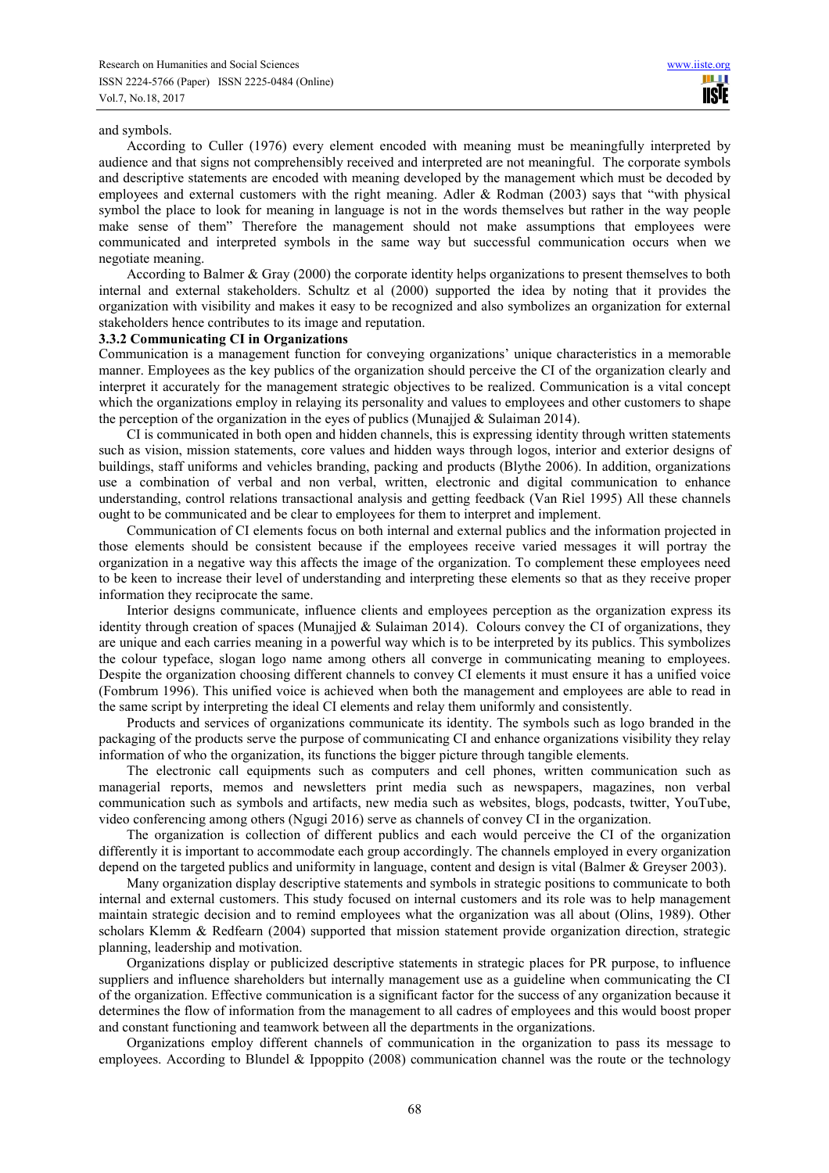### and symbols.

According to Culler (1976) every element encoded with meaning must be meaningfully interpreted by audience and that signs not comprehensibly received and interpreted are not meaningful. The corporate symbols and descriptive statements are encoded with meaning developed by the management which must be decoded by employees and external customers with the right meaning. Adler & Rodman (2003) says that "with physical symbol the place to look for meaning in language is not in the words themselves but rather in the way people make sense of them" Therefore the management should not make assumptions that employees were communicated and interpreted symbols in the same way but successful communication occurs when we negotiate meaning.

According to Balmer & Gray (2000) the corporate identity helps organizations to present themselves to both internal and external stakeholders. Schultz et al (2000) supported the idea by noting that it provides the organization with visibility and makes it easy to be recognized and also symbolizes an organization for external stakeholders hence contributes to its image and reputation.

### **3.3.2 Communicating CI in Organizations**

Communication is a management function for conveying organizations' unique characteristics in a memorable manner. Employees as the key publics of the organization should perceive the CI of the organization clearly and interpret it accurately for the management strategic objectives to be realized. Communication is a vital concept which the organizations employ in relaying its personality and values to employees and other customers to shape the perception of the organization in the eyes of publics (Munajjed  $&$  Sulaiman 2014).

CI is communicated in both open and hidden channels, this is expressing identity through written statements such as vision, mission statements, core values and hidden ways through logos, interior and exterior designs of buildings, staff uniforms and vehicles branding, packing and products (Blythe 2006). In addition, organizations use a combination of verbal and non verbal, written, electronic and digital communication to enhance understanding, control relations transactional analysis and getting feedback (Van Riel 1995) All these channels ought to be communicated and be clear to employees for them to interpret and implement.

Communication of CI elements focus on both internal and external publics and the information projected in those elements should be consistent because if the employees receive varied messages it will portray the organization in a negative way this affects the image of the organization. To complement these employees need to be keen to increase their level of understanding and interpreting these elements so that as they receive proper information they reciprocate the same.

Interior designs communicate, influence clients and employees perception as the organization express its identity through creation of spaces (Munajjed  $&$  Sulaiman 2014). Colours convey the CI of organizations, they are unique and each carries meaning in a powerful way which is to be interpreted by its publics. This symbolizes the colour typeface, slogan logo name among others all converge in communicating meaning to employees. Despite the organization choosing different channels to convey CI elements it must ensure it has a unified voice (Fombrum 1996). This unified voice is achieved when both the management and employees are able to read in the same script by interpreting the ideal CI elements and relay them uniformly and consistently.

Products and services of organizations communicate its identity. The symbols such as logo branded in the packaging of the products serve the purpose of communicating CI and enhance organizations visibility they relay information of who the organization, its functions the bigger picture through tangible elements.

The electronic call equipments such as computers and cell phones, written communication such as managerial reports, memos and newsletters print media such as newspapers, magazines, non verbal communication such as symbols and artifacts, new media such as websites, blogs, podcasts, twitter, YouTube, video conferencing among others (Ngugi 2016) serve as channels of convey CI in the organization.

The organization is collection of different publics and each would perceive the CI of the organization differently it is important to accommodate each group accordingly. The channels employed in every organization depend on the targeted publics and uniformity in language, content and design is vital (Balmer & Greyser 2003).

Many organization display descriptive statements and symbols in strategic positions to communicate to both internal and external customers. This study focused on internal customers and its role was to help management maintain strategic decision and to remind employees what the organization was all about (Olins, 1989). Other scholars Klemm & Redfearn (2004) supported that mission statement provide organization direction, strategic planning, leadership and motivation.

Organizations display or publicized descriptive statements in strategic places for PR purpose, to influence suppliers and influence shareholders but internally management use as a guideline when communicating the CI of the organization. Effective communication is a significant factor for the success of any organization because it determines the flow of information from the management to all cadres of employees and this would boost proper and constant functioning and teamwork between all the departments in the organizations.

Organizations employ different channels of communication in the organization to pass its message to employees. According to Blundel & Ippoppito (2008) communication channel was the route or the technology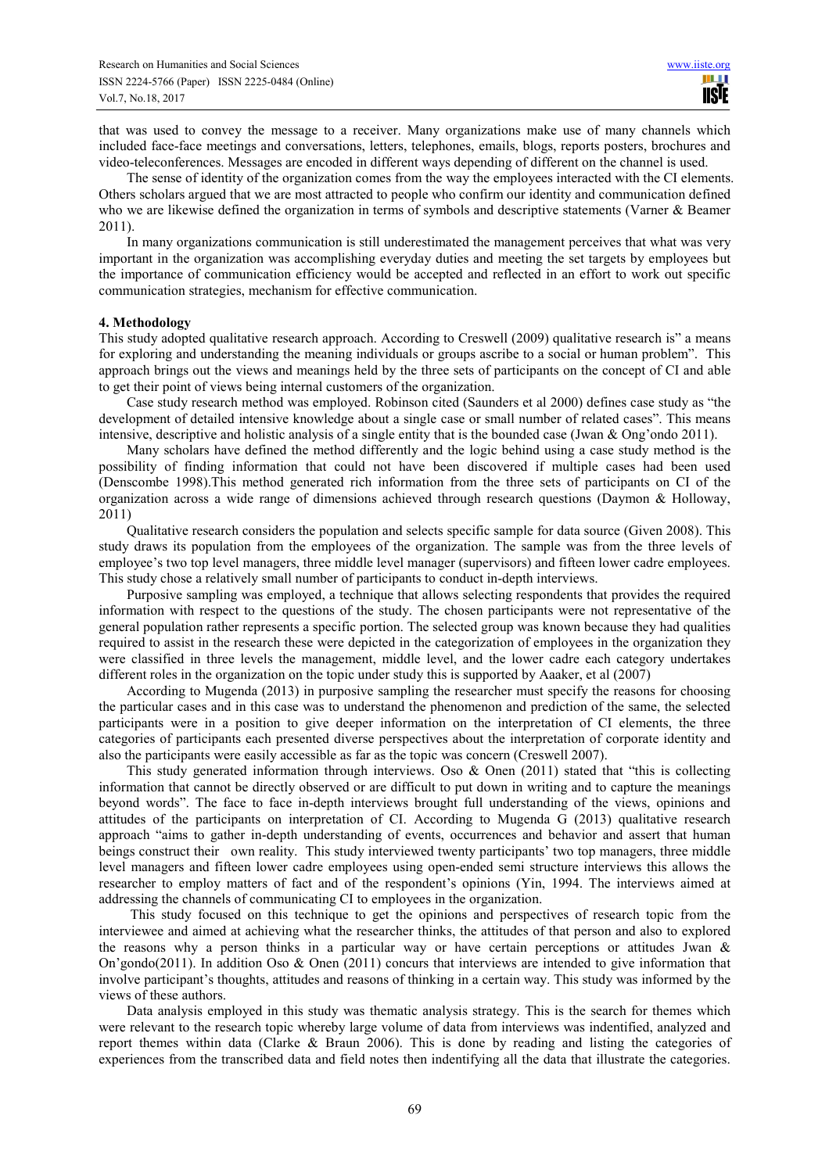that was used to convey the message to a receiver. Many organizations make use of many channels which included face-face meetings and conversations, letters, telephones, emails, blogs, reports posters, brochures and video-teleconferences. Messages are encoded in different ways depending of different on the channel is used.

The sense of identity of the organization comes from the way the employees interacted with the CI elements. Others scholars argued that we are most attracted to people who confirm our identity and communication defined who we are likewise defined the organization in terms of symbols and descriptive statements (Varner & Beamer 2011).

In many organizations communication is still underestimated the management perceives that what was very important in the organization was accomplishing everyday duties and meeting the set targets by employees but the importance of communication efficiency would be accepted and reflected in an effort to work out specific communication strategies, mechanism for effective communication.

### **4. Methodology**

This study adopted qualitative research approach. According to Creswell (2009) qualitative research is" a means for exploring and understanding the meaning individuals or groups ascribe to a social or human problem". This approach brings out the views and meanings held by the three sets of participants on the concept of CI and able to get their point of views being internal customers of the organization.

Case study research method was employed. Robinson cited (Saunders et al 2000) defines case study as "the development of detailed intensive knowledge about a single case or small number of related cases". This means intensive, descriptive and holistic analysis of a single entity that is the bounded case (Jwan & Ong'ondo 2011).

Many scholars have defined the method differently and the logic behind using a case study method is the possibility of finding information that could not have been discovered if multiple cases had been used (Denscombe 1998).This method generated rich information from the three sets of participants on CI of the organization across a wide range of dimensions achieved through research questions (Daymon & Holloway, 2011)

Qualitative research considers the population and selects specific sample for data source (Given 2008). This study draws its population from the employees of the organization. The sample was from the three levels of employee's two top level managers, three middle level manager (supervisors) and fifteen lower cadre employees. This study chose a relatively small number of participants to conduct in-depth interviews.

Purposive sampling was employed, a technique that allows selecting respondents that provides the required information with respect to the questions of the study. The chosen participants were not representative of the general population rather represents a specific portion. The selected group was known because they had qualities required to assist in the research these were depicted in the categorization of employees in the organization they were classified in three levels the management, middle level, and the lower cadre each category undertakes different roles in the organization on the topic under study this is supported by Aaaker, et al (2007)

According to Mugenda (2013) in purposive sampling the researcher must specify the reasons for choosing the particular cases and in this case was to understand the phenomenon and prediction of the same, the selected participants were in a position to give deeper information on the interpretation of CI elements, the three categories of participants each presented diverse perspectives about the interpretation of corporate identity and also the participants were easily accessible as far as the topic was concern (Creswell 2007).

This study generated information through interviews. Oso & Onen (2011) stated that "this is collecting information that cannot be directly observed or are difficult to put down in writing and to capture the meanings beyond words". The face to face in-depth interviews brought full understanding of the views, opinions and attitudes of the participants on interpretation of CI. According to Mugenda G (2013) qualitative research approach "aims to gather in-depth understanding of events, occurrences and behavior and assert that human beings construct their own reality. This study interviewed twenty participants' two top managers, three middle level managers and fifteen lower cadre employees using open-ended semi structure interviews this allows the researcher to employ matters of fact and of the respondent's opinions (Yin, 1994. The interviews aimed at addressing the channels of communicating CI to employees in the organization.

 This study focused on this technique to get the opinions and perspectives of research topic from the interviewee and aimed at achieving what the researcher thinks, the attitudes of that person and also to explored the reasons why a person thinks in a particular way or have certain perceptions or attitudes Jwan  $\&$ On'gondo(2011). In addition Oso & Onen (2011) concurs that interviews are intended to give information that involve participant's thoughts, attitudes and reasons of thinking in a certain way. This study was informed by the views of these authors.

Data analysis employed in this study was thematic analysis strategy. This is the search for themes which were relevant to the research topic whereby large volume of data from interviews was indentified, analyzed and report themes within data (Clarke & Braun 2006). This is done by reading and listing the categories of experiences from the transcribed data and field notes then indentifying all the data that illustrate the categories.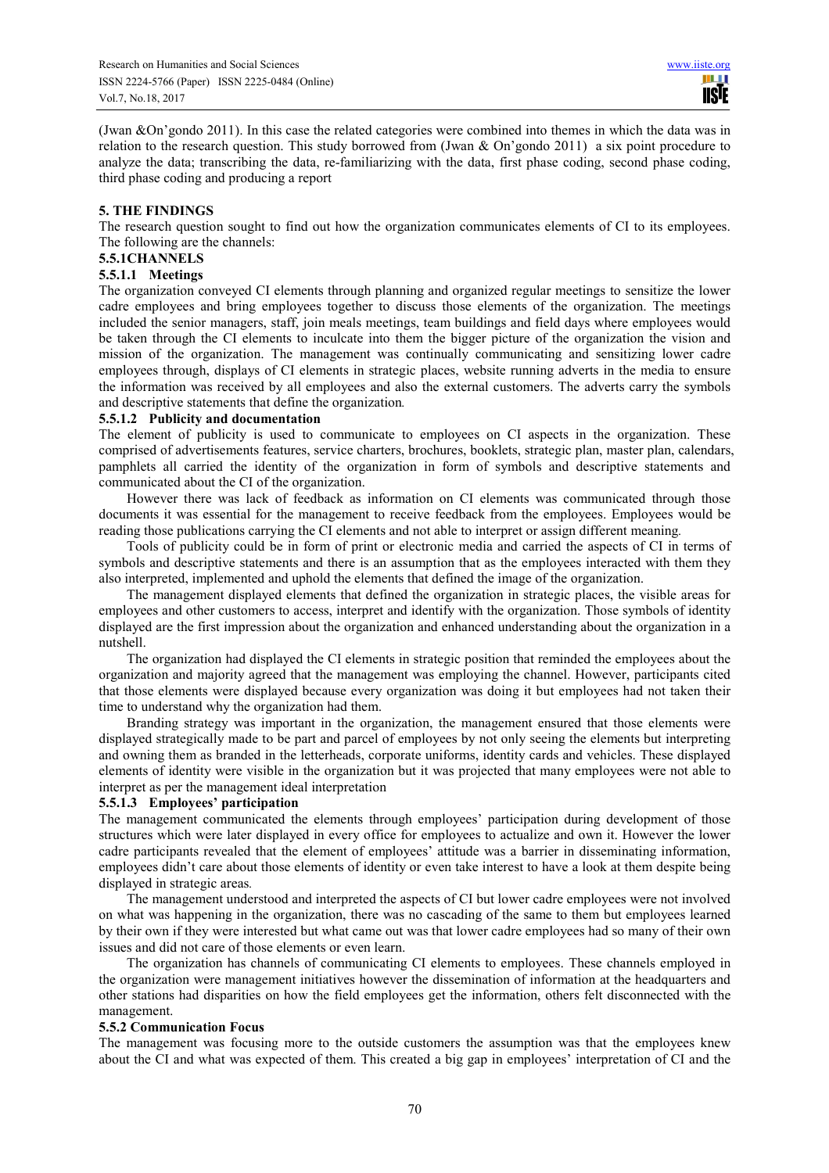(Jwan &On'gondo 2011). In this case the related categories were combined into themes in which the data was in relation to the research question. This study borrowed from (Jwan & On'gondo 2011) a six point procedure to analyze the data; transcribing the data, re-familiarizing with the data, first phase coding, second phase coding, third phase coding and producing a report

# **5. THE FINDINGS**

The research question sought to find out how the organization communicates elements of CI to its employees. The following are the channels:

# **5.5.1CHANNELS**

# **5.5.1.1 Meetings**

The organization conveyed CI elements through planning and organized regular meetings to sensitize the lower cadre employees and bring employees together to discuss those elements of the organization. The meetings included the senior managers, staff, join meals meetings, team buildings and field days where employees would be taken through the CI elements to inculcate into them the bigger picture of the organization the vision and mission of the organization. The management was continually communicating and sensitizing lower cadre employees through, displays of CI elements in strategic places, website running adverts in the media to ensure the information was received by all employees and also the external customers. The adverts carry the symbols and descriptive statements that define the organization*.* 

# **5.5.1.2 Publicity and documentation**

The element of publicity is used to communicate to employees on CI aspects in the organization. These comprised of advertisements features, service charters, brochures, booklets, strategic plan, master plan, calendars, pamphlets all carried the identity of the organization in form of symbols and descriptive statements and communicated about the CI of the organization.

However there was lack of feedback as information on CI elements was communicated through those documents it was essential for the management to receive feedback from the employees. Employees would be reading those publications carrying the CI elements and not able to interpret or assign different meaning*.*

Tools of publicity could be in form of print or electronic media and carried the aspects of CI in terms of symbols and descriptive statements and there is an assumption that as the employees interacted with them they also interpreted, implemented and uphold the elements that defined the image of the organization.

The management displayed elements that defined the organization in strategic places, the visible areas for employees and other customers to access, interpret and identify with the organization. Those symbols of identity displayed are the first impression about the organization and enhanced understanding about the organization in a nutshell.

The organization had displayed the CI elements in strategic position that reminded the employees about the organization and majority agreed that the management was employing the channel. However, participants cited that those elements were displayed because every organization was doing it but employees had not taken their time to understand why the organization had them.

Branding strategy was important in the organization, the management ensured that those elements were displayed strategically made to be part and parcel of employees by not only seeing the elements but interpreting and owning them as branded in the letterheads, corporate uniforms, identity cards and vehicles. These displayed elements of identity were visible in the organization but it was projected that many employees were not able to interpret as per the management ideal interpretation

# **5.5.1.3 Employees' participation**

The management communicated the elements through employees' participation during development of those structures which were later displayed in every office for employees to actualize and own it. However the lower cadre participants revealed that the element of employees' attitude was a barrier in disseminating information, employees didn't care about those elements of identity or even take interest to have a look at them despite being displayed in strategic areas*.* 

The management understood and interpreted the aspects of CI but lower cadre employees were not involved on what was happening in the organization, there was no cascading of the same to them but employees learned by their own if they were interested but what came out was that lower cadre employees had so many of their own issues and did not care of those elements or even learn.

The organization has channels of communicating CI elements to employees. These channels employed in the organization were management initiatives however the dissemination of information at the headquarters and other stations had disparities on how the field employees get the information, others felt disconnected with the management.

# **5.5.2 Communication Focus**

The management was focusing more to the outside customers the assumption was that the employees knew about the CI and what was expected of them. This created a big gap in employees' interpretation of CI and the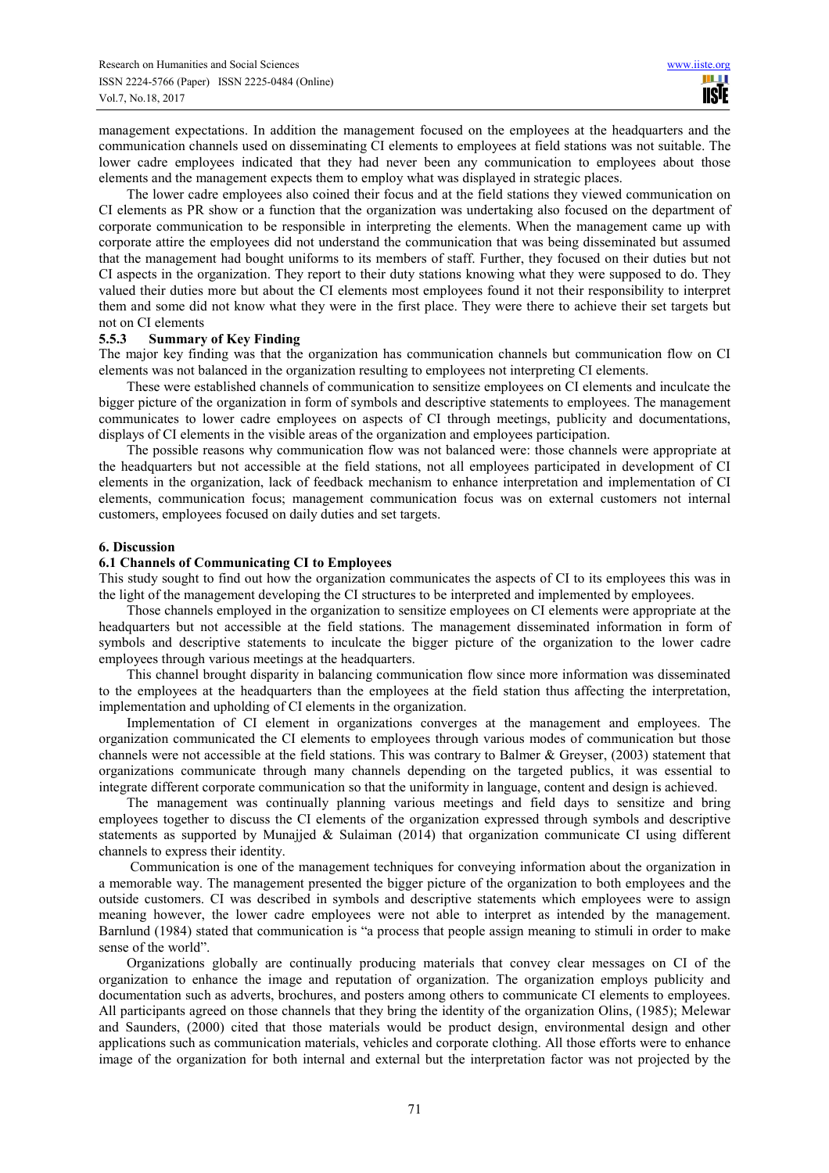management expectations. In addition the management focused on the employees at the headquarters and the communication channels used on disseminating CI elements to employees at field stations was not suitable. The lower cadre employees indicated that they had never been any communication to employees about those elements and the management expects them to employ what was displayed in strategic places.

The lower cadre employees also coined their focus and at the field stations they viewed communication on CI elements as PR show or a function that the organization was undertaking also focused on the department of corporate communication to be responsible in interpreting the elements. When the management came up with corporate attire the employees did not understand the communication that was being disseminated but assumed that the management had bought uniforms to its members of staff. Further, they focused on their duties but not CI aspects in the organization. They report to their duty stations knowing what they were supposed to do. They valued their duties more but about the CI elements most employees found it not their responsibility to interpret them and some did not know what they were in the first place. They were there to achieve their set targets but not on CI elements

### **5.5.3 Summary of Key Finding**

The major key finding was that the organization has communication channels but communication flow on CI elements was not balanced in the organization resulting to employees not interpreting CI elements.

These were established channels of communication to sensitize employees on CI elements and inculcate the bigger picture of the organization in form of symbols and descriptive statements to employees. The management communicates to lower cadre employees on aspects of CI through meetings, publicity and documentations, displays of CI elements in the visible areas of the organization and employees participation.

The possible reasons why communication flow was not balanced were: those channels were appropriate at the headquarters but not accessible at the field stations, not all employees participated in development of CI elements in the organization, lack of feedback mechanism to enhance interpretation and implementation of CI elements, communication focus; management communication focus was on external customers not internal customers, employees focused on daily duties and set targets.

### **6. Discussion**

### **6.1 Channels of Communicating CI to Employees**

This study sought to find out how the organization communicates the aspects of CI to its employees this was in the light of the management developing the CI structures to be interpreted and implemented by employees.

Those channels employed in the organization to sensitize employees on CI elements were appropriate at the headquarters but not accessible at the field stations. The management disseminated information in form of symbols and descriptive statements to inculcate the bigger picture of the organization to the lower cadre employees through various meetings at the headquarters.

This channel brought disparity in balancing communication flow since more information was disseminated to the employees at the headquarters than the employees at the field station thus affecting the interpretation, implementation and upholding of CI elements in the organization.

Implementation of CI element in organizations converges at the management and employees. The organization communicated the CI elements to employees through various modes of communication but those channels were not accessible at the field stations. This was contrary to Balmer & Greyser, (2003) statement that organizations communicate through many channels depending on the targeted publics, it was essential to integrate different corporate communication so that the uniformity in language, content and design is achieved.

The management was continually planning various meetings and field days to sensitize and bring employees together to discuss the CI elements of the organization expressed through symbols and descriptive statements as supported by Munajjed & Sulaiman (2014) that organization communicate CI using different channels to express their identity.

 Communication is one of the management techniques for conveying information about the organization in a memorable way. The management presented the bigger picture of the organization to both employees and the outside customers. CI was described in symbols and descriptive statements which employees were to assign meaning however, the lower cadre employees were not able to interpret as intended by the management. Barnlund (1984) stated that communication is "a process that people assign meaning to stimuli in order to make sense of the world".

Organizations globally are continually producing materials that convey clear messages on CI of the organization to enhance the image and reputation of organization. The organization employs publicity and documentation such as adverts, brochures, and posters among others to communicate CI elements to employees. All participants agreed on those channels that they bring the identity of the organization Olins, (1985); Melewar and Saunders, (2000) cited that those materials would be product design, environmental design and other applications such as communication materials, vehicles and corporate clothing. All those efforts were to enhance image of the organization for both internal and external but the interpretation factor was not projected by the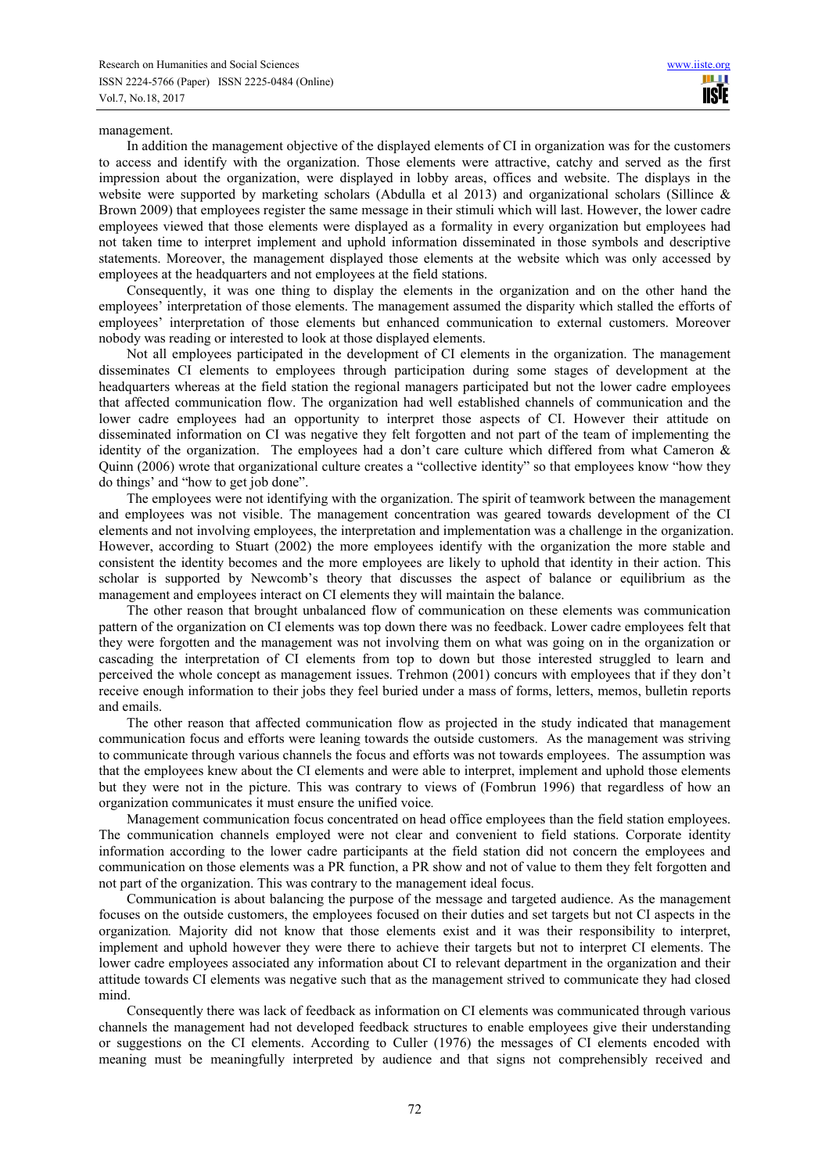#### management.

In addition the management objective of the displayed elements of CI in organization was for the customers to access and identify with the organization. Those elements were attractive, catchy and served as the first impression about the organization, were displayed in lobby areas, offices and website. The displays in the website were supported by marketing scholars (Abdulla et al 2013) and organizational scholars (Sillince  $\&$ Brown 2009) that employees register the same message in their stimuli which will last. However, the lower cadre employees viewed that those elements were displayed as a formality in every organization but employees had not taken time to interpret implement and uphold information disseminated in those symbols and descriptive statements. Moreover, the management displayed those elements at the website which was only accessed by employees at the headquarters and not employees at the field stations.

Consequently, it was one thing to display the elements in the organization and on the other hand the employees' interpretation of those elements. The management assumed the disparity which stalled the efforts of employees' interpretation of those elements but enhanced communication to external customers. Moreover nobody was reading or interested to look at those displayed elements.

Not all employees participated in the development of CI elements in the organization. The management disseminates CI elements to employees through participation during some stages of development at the headquarters whereas at the field station the regional managers participated but not the lower cadre employees that affected communication flow. The organization had well established channels of communication and the lower cadre employees had an opportunity to interpret those aspects of CI. However their attitude on disseminated information on CI was negative they felt forgotten and not part of the team of implementing the identity of the organization. The employees had a don't care culture which differed from what Cameron  $\&$ Quinn (2006) wrote that organizational culture creates a "collective identity" so that employees know "how they do things' and "how to get job done".

The employees were not identifying with the organization. The spirit of teamwork between the management and employees was not visible. The management concentration was geared towards development of the CI elements and not involving employees, the interpretation and implementation was a challenge in the organization. However, according to Stuart (2002) the more employees identify with the organization the more stable and consistent the identity becomes and the more employees are likely to uphold that identity in their action. This scholar is supported by Newcomb's theory that discusses the aspect of balance or equilibrium as the management and employees interact on CI elements they will maintain the balance.

The other reason that brought unbalanced flow of communication on these elements was communication pattern of the organization on CI elements was top down there was no feedback. Lower cadre employees felt that they were forgotten and the management was not involving them on what was going on in the organization or cascading the interpretation of CI elements from top to down but those interested struggled to learn and perceived the whole concept as management issues. Trehmon (2001) concurs with employees that if they don't receive enough information to their jobs they feel buried under a mass of forms, letters, memos, bulletin reports and emails.

The other reason that affected communication flow as projected in the study indicated that management communication focus and efforts were leaning towards the outside customers. As the management was striving to communicate through various channels the focus and efforts was not towards employees. The assumption was that the employees knew about the CI elements and were able to interpret, implement and uphold those elements but they were not in the picture. This was contrary to views of (Fombrun 1996) that regardless of how an organization communicates it must ensure the unified voice*.* 

Management communication focus concentrated on head office employees than the field station employees. The communication channels employed were not clear and convenient to field stations. Corporate identity information according to the lower cadre participants at the field station did not concern the employees and communication on those elements was a PR function, a PR show and not of value to them they felt forgotten and not part of the organization. This was contrary to the management ideal focus.

Communication is about balancing the purpose of the message and targeted audience. As the management focuses on the outside customers, the employees focused on their duties and set targets but not CI aspects in the organization*.* Majority did not know that those elements exist and it was their responsibility to interpret, implement and uphold however they were there to achieve their targets but not to interpret CI elements. The lower cadre employees associated any information about CI to relevant department in the organization and their attitude towards CI elements was negative such that as the management strived to communicate they had closed mind.

Consequently there was lack of feedback as information on CI elements was communicated through various channels the management had not developed feedback structures to enable employees give their understanding or suggestions on the CI elements. According to Culler (1976) the messages of CI elements encoded with meaning must be meaningfully interpreted by audience and that signs not comprehensibly received and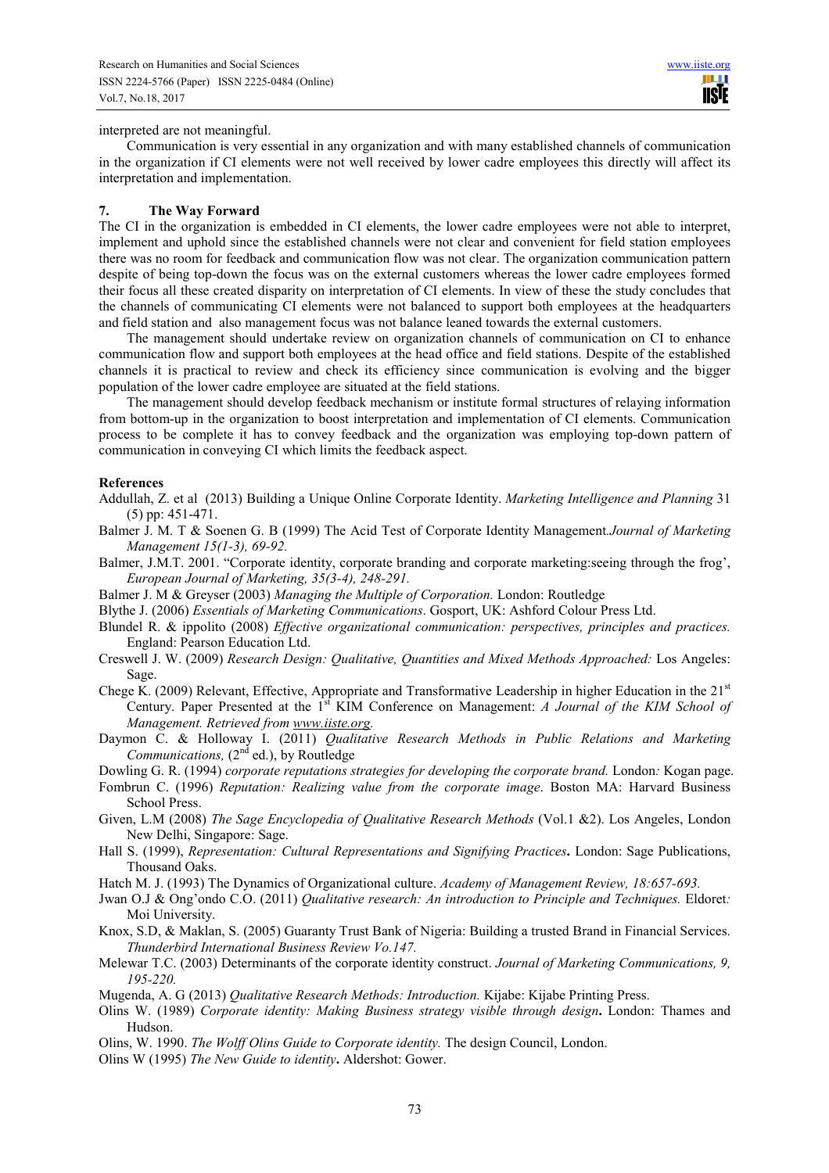interpreted are not meaningful.

Communication is very essential in any organization and with many established channels of communication in the organization if CI elements were not well received by lower cadre employees this directly will affect its interpretation and implementation.

# **7. The Way Forward**

The CI in the organization is embedded in CI elements, the lower cadre employees were not able to interpret, implement and uphold since the established channels were not clear and convenient for field station employees there was no room for feedback and communication flow was not clear. The organization communication pattern despite of being top-down the focus was on the external customers whereas the lower cadre employees formed their focus all these created disparity on interpretation of CI elements. In view of these the study concludes that the channels of communicating CI elements were not balanced to support both employees at the headquarters and field station and also management focus was not balance leaned towards the external customers.

The management should undertake review on organization channels of communication on CI to enhance communication flow and support both employees at the head office and field stations. Despite of the established channels it is practical to review and check its efficiency since communication is evolving and the bigger population of the lower cadre employee are situated at the field stations.

The management should develop feedback mechanism or institute formal structures of relaying information from bottom-up in the organization to boost interpretation and implementation of CI elements. Communication process to be complete it has to convey feedback and the organization was employing top-down pattern of communication in conveying CI which limits the feedback aspect.

# **References**

- Addullah, Z. et al (2013) Building a Unique Online Corporate Identity. *Marketing Intelligence and Planning* 31 (5) pp: 451-471.
- Balmer J. M. T & Soenen G. B (1999) The Acid Test of Corporate Identity Management*.Journal of Marketing Management 15(1-3), 69-92.*
- Balmer, J.M.T. 2001. "Corporate identity, corporate branding and corporate marketing:seeing through the frog', *European Journal of Marketing, 35(3-4), 248-291.*
- Balmer J. M & Greyser (2003) *Managing the Multiple of Corporation.* London: Routledge
- Blythe J. (2006) *Essentials of Marketing Communications*. Gosport, UK: Ashford Colour Press Ltd.
- Blundel R. & ippolito (2008) *Effective organizational communication: perspectives, principles and practices.* England: Pearson Education Ltd.
- Creswell J. W. (2009) *Research Design: Qualitative, Quantities and Mixed Methods Approached:* Los Angeles: Sage.
- Chege K. (2009) Relevant, Effective, Appropriate and Transformative Leadership in higher Education in the  $21<sup>st</sup>$ Century. Paper Presented at the 1<sup>st</sup> KIM Conference on Management: *A Journal of the KIM School of Management. Retrieved from www.iiste.org.*
- Daymon C. & Holloway I. (2011) *Qualitative Research Methods in Public Relations and Marketing Communications,*  $(2^{nd}$  ed.), by Routledge
- Dowling G. R. (1994) *corporate reputations strategies for developing the corporate brand.* London*:* Kogan page.
- Fombrun C. (1996) *Reputation: Realizing value from the corporate image*. Boston MA: Harvard Business School Press.
- Given, L.M (2008) *The Sage Encyclopedia of Qualitative Research Methods* (Vol.1 &2). Los Angeles, London New Delhi, Singapore: Sage.
- Hall S. (1999), *Representation: Cultural Representations and Signifying Practices***.** London: Sage Publications, Thousand Oaks.
- Hatch M. J. (1993) The Dynamics of Organizational culture. *Academy of Management Review, 18:657-693.*
- Jwan O.J & Ong'ondo C.O. (2011) *Qualitative research: An introduction to Principle and Techniques.* Eldoret*:* Moi University.
- Knox, S.D, & Maklan, S. (2005) Guaranty Trust Bank of Nigeria: Building a trusted Brand in Financial Services. *Thunderbird International Business Review Vo.147.*
- Melewar T.C. (2003) Determinants of the corporate identity construct. *Journal of Marketing Communications, 9, 195-220.*
- Mugenda, A. G (2013) *Qualitative Research Methods: Introduction.* Kijabe: Kijabe Printing Press.
- Olins W. (1989) *Corporate identity: Making Business strategy visible through design***.** London: Thames and Hudson.
- Olins, W. 1990. *The Wolff Olins Guide to Corporate identity.* The design Council, London.
- Olins W (1995) *The New Guide to identity***.** Aldershot: Gower.